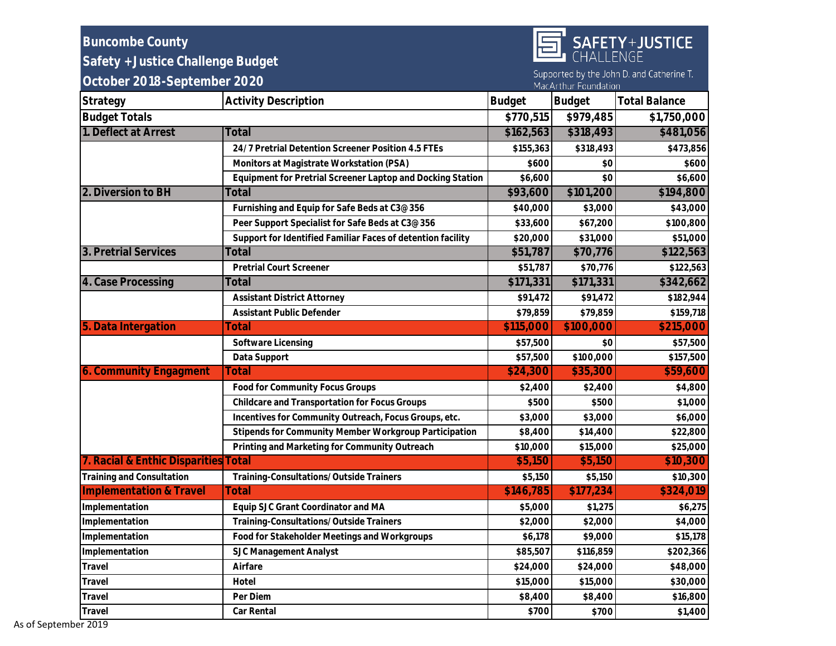| <b>Buncombe County</b>               |                                                             |               |                      | SAFETY+JUSTICE                            |
|--------------------------------------|-------------------------------------------------------------|---------------|----------------------|-------------------------------------------|
| Safety + Justice Challenge Budget    |                                                             |               |                      |                                           |
| October 2018-September 2020          |                                                             |               | MacArthur Foundation | Supported by the John D. and Catherine T. |
| Strategy                             | <b>Activity Description</b>                                 | <b>Budget</b> | Budget               | <b>Total Balance</b>                      |
| <b>Budget Totals</b>                 |                                                             | \$770,515     | \$979,485            | \$1,750,000                               |
| 1. Deflect at Arrest                 | Total                                                       | \$162,563     | \$318,493            | \$481,056                                 |
|                                      | 24/7 Pretrial Detention Screener Position 4.5 FTEs          | \$155,363     | \$318,493            | \$473,856                                 |
|                                      | Monitors at Magistrate Workstation (PSA)                    | \$600         | \$0                  | \$600                                     |
|                                      | Equipment for Pretrial Screener Laptop and Docking Station  | \$6,600       | \$0                  | \$6,600                                   |
| 2. Diversion to BH                   | Total                                                       | \$93,600      | \$101,200            | \$194,800                                 |
|                                      | Furnishing and Equip for Safe Beds at C3@356                | \$40,000      | \$3,000              | \$43,000                                  |
|                                      | Peer Support Specialist for Safe Beds at C3@356             | \$33,600      | \$67,200             | \$100,800                                 |
|                                      | Support for Identified Familiar Faces of detention facility | \$20,000      | \$31,000             | \$51,000                                  |
| 3. Pretrial Services                 | Total                                                       | \$51,787      | \$70,776             | \$122,563                                 |
|                                      | Pretrial Court Screener                                     | \$51,787      | \$70,776             | \$122,563                                 |
| 4. Case Processing                   | Total                                                       | \$171,331     | \$171,331            | \$342,662                                 |
|                                      | <b>Assistant District Attorney</b>                          | \$91,472      | \$91,472             | \$182,944                                 |
|                                      | Assistant Public Defender                                   | \$79,859      | \$79,859             | \$159,718                                 |
| 5. Data Intergation                  | Total                                                       | \$115,000     | \$100,000            | \$215,000                                 |
|                                      | Software Licensing                                          | \$57,500      | \$0                  | \$57,500                                  |
|                                      | Data Support                                                | \$57,500      | \$100,000            | \$157,500                                 |
| 6. Community Engagment               | Total                                                       | \$24,300      | \$35,300             | \$59,600                                  |
|                                      | Food for Community Focus Groups                             | \$2,400       | \$2,400              | \$4,800                                   |
|                                      | Childcare and Transportation for Focus Groups               | \$500         | \$500                | \$1,000                                   |
|                                      | Incentives for Community Outreach, Focus Groups, etc.       | \$3,000       | \$3,000              | \$6,000                                   |
|                                      | Stipends for Community Member Workgroup Participation       | \$8,400       | \$14,400             | \$22,800                                  |
|                                      | Printing and Marketing for Community Outreach               | \$10,000      | \$15,000             | \$25,000                                  |
| 7. Racial & Enthic Disparities Total |                                                             | \$5,150       | \$5,150              | \$10,300                                  |
| Training and Consultation            | Training-Consultations/Outside Trainers                     | \$5,150       | \$5,150              | \$10,300                                  |
| <b>Implementation &amp; Travel</b>   | Total                                                       | \$146,785     | \$177,234            | \$324,019                                 |
| Implementation                       | Equip SJC Grant Coordinator and MA                          | \$5,000       | \$1,275              | \$6,275                                   |
| Implementation                       | Training-Consultations/Outside Trainers                     | \$2,000       | \$2,000              | \$4,000                                   |
| Implementation                       | Food for Stakeholder Meetings and Workgroups                | \$6,178       | \$9,000              | \$15,178                                  |
| Implementation                       | SJC Management Analyst                                      | \$85,507      | \$116,859            | \$202,366                                 |
| Travel                               | Airfare                                                     | \$24,000      | \$24,000             | \$48,000                                  |
| Travel                               | Hotel                                                       | \$15,000      | \$15,000             | \$30,000                                  |
| Travel                               | Per Diem                                                    | \$8,400       | \$8,400              | \$16,800                                  |
| Travel                               | Car Rental                                                  | \$700         | \$700                | \$1,400                                   |

As of September 2019